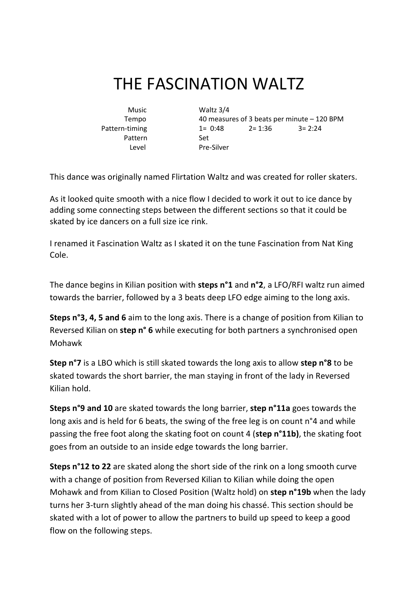## THE FASCINATION WALTZ

Pattern Set

 Music Waltz 3/4 Tempo 40 measures of 3 beats per minute – 120 BPM Pattern-timing 1= 0:48 2= 1:36 3= 2:24 Level Pre-Silver

This dance was originally named Flirtation Waltz and was created for roller skaters.

As it looked quite smooth with a nice flow I decided to work it out to ice dance by adding some connecting steps between the different sections so that it could be skated by ice dancers on a full size ice rink.

I renamed it Fascination Waltz as I skated it on the tune Fascination from Nat King Cole.

The dance begins in Kilian position with **steps n°1** and **n°2**, a LFO/RFI waltz run aimed towards the barrier, followed by a 3 beats deep LFO edge aiming to the long axis.

**Steps n°3, 4, 5 and 6** aim to the long axis. There is a change of position from Kilian to Reversed Kilian on **step n° 6** while executing for both partners a synchronised open Mohawk

**Step n°7** is a LBO which is still skated towards the long axis to allow **step n°8** to be skated towards the short barrier, the man staying in front of the lady in Reversed Kilian hold.

**Steps n°9 and 10** are skated towards the long barrier, **step n°11a** goes towards the long axis and is held for 6 beats, the swing of the free leg is on count n°4 and while passing the free foot along the skating foot on count 4 (**step n°11b)**, the skating foot goes from an outside to an inside edge towards the long barrier.

**Steps n°12 to 22** are skated along the short side of the rink on a long smooth curve with a change of position from Reversed Kilian to Kilian while doing the open Mohawk and from Kilian to Closed Position (Waltz hold) on **step n°19b** when the lady turns her 3-turn slightly ahead of the man doing his chassé. This section should be skated with a lot of power to allow the partners to build up speed to keep a good flow on the following steps.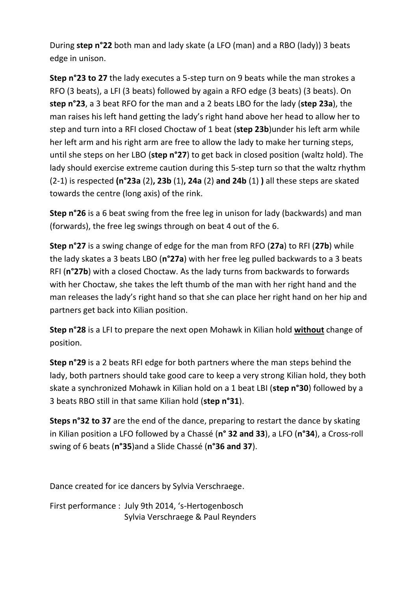During **step n°22** both man and lady skate (a LFO (man) and a RBO (lady)) 3 beats edge in unison.

**Step n°23 to 27** the lady executes a 5-step turn on 9 beats while the man strokes a RFO (3 beats), a LFI (3 beats) followed by again a RFO edge (3 beats) (3 beats). On **step n°23**, a 3 beat RFO for the man and a 2 beats LBO for the lady (**step 23a**), the man raises his left hand getting the lady's right hand above her head to allow her to step and turn into a RFI closed Choctaw of 1 beat (**step 23b**)under his left arm while her left arm and his right arm are free to allow the lady to make her turning steps, until she steps on her LBO (**step n°27**) to get back in closed position (waltz hold). The lady should exercise extreme caution during this 5-step turn so that the waltz rhythm (2-1) is respected **(n°23a** (2)**, 23b** (1)**, 24a** (2) **and 24b** (1) **)** all these steps are skated towards the centre (long axis) of the rink.

**Step n°26** is a 6 beat swing from the free leg in unison for lady (backwards) and man (forwards), the free leg swings through on beat 4 out of the 6.

**Step n°27** is a swing change of edge for the man from RFO (**27a**) to RFI (**27b**) while the lady skates a 3 beats LBO (**n°27a**) with her free leg pulled backwards to a 3 beats RFI (**n°27b**) with a closed Choctaw. As the lady turns from backwards to forwards with her Choctaw, she takes the left thumb of the man with her right hand and the man releases the lady's right hand so that she can place her right hand on her hip and partners get back into Kilian position.

**Step n°28** is a LFI to prepare the next open Mohawk in Kilian hold **without** change of position.

**Step n°29** is a 2 beats RFI edge for both partners where the man steps behind the lady, both partners should take good care to keep a very strong Kilian hold, they both skate a synchronized Mohawk in Kilian hold on a 1 beat LBI (**step n°30**) followed by a 3 beats RBO still in that same Kilian hold (**step n°31**).

**Steps n°32 to 37** are the end of the dance, preparing to restart the dance by skating in Kilian position a LFO followed by a Chassé (**n° 32 and 33**), a LFO (**n°34**), a Cross-roll swing of 6 beats (**n°35**)and a Slide Chassé (**n°36 and 37**).

Dance created for ice dancers by Sylvia Verschraege.

First performance : July 9th 2014, 's-Hertogenbosch Sylvia Verschraege & Paul Reynders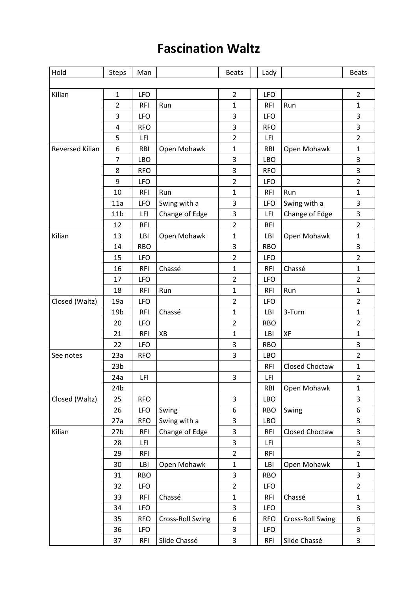## **Fascination Waltz**

| Hold                   | <b>Steps</b>    | Man        |                  | <b>Beats</b>   |  | Lady       |                       | <b>Beats</b>            |
|------------------------|-----------------|------------|------------------|----------------|--|------------|-----------------------|-------------------------|
|                        |                 |            |                  |                |  |            |                       |                         |
| Kilian                 | $\mathbf{1}$    | <b>LFO</b> |                  | $\overline{2}$ |  | <b>LFO</b> |                       | $\overline{2}$          |
|                        | $\overline{2}$  | <b>RFI</b> | Run              | 1              |  | <b>RFI</b> | Run                   | $\mathbf{1}$            |
|                        | 3               | <b>LFO</b> |                  | 3              |  | <b>LFO</b> |                       | 3                       |
|                        | 4               | <b>RFO</b> |                  | 3              |  | <b>RFO</b> |                       | 3                       |
|                        | 5               | LFI        |                  | $\overline{2}$ |  | LFI        |                       | $\overline{2}$          |
| <b>Reversed Kilian</b> | 6               | <b>RBI</b> | Open Mohawk      | $\mathbf{1}$   |  | <b>RBI</b> | Open Mohawk           | 1                       |
|                        | $\overline{7}$  | <b>LBO</b> |                  | 3              |  | <b>LBO</b> |                       | 3                       |
|                        | 8               | <b>RFO</b> |                  | 3              |  | <b>RFO</b> |                       | 3                       |
|                        | 9               | <b>LFO</b> |                  | $\overline{2}$ |  | <b>LFO</b> |                       | $\overline{2}$          |
|                        | 10              | <b>RFI</b> | Run              | $\mathbf{1}$   |  | <b>RFI</b> | Run                   | $\mathbf{1}$            |
|                        | 11a             | <b>LFO</b> | Swing with a     | 3              |  | <b>LFO</b> | Swing with a          | 3                       |
|                        | 11 <sub>b</sub> | LFI        | Change of Edge   | 3              |  | LFI        | Change of Edge        | 3                       |
|                        | 12              | <b>RFI</b> |                  | $\overline{2}$ |  | <b>RFI</b> |                       | $\overline{2}$          |
| Kilian                 | 13              | LBI        | Open Mohawk      | 1              |  | LBI        | Open Mohawk           | $\mathbf{1}$            |
|                        | 14              | <b>RBO</b> |                  | 3              |  | <b>RBO</b> |                       | 3                       |
|                        | 15              | <b>LFO</b> |                  | $\overline{2}$ |  | <b>LFO</b> |                       | $\overline{2}$          |
|                        | 16              | <b>RFI</b> | Chassé           | $\mathbf 1$    |  | <b>RFI</b> | Chassé                | $\mathbf{1}$            |
|                        | 17              | <b>LFO</b> |                  | $\overline{2}$ |  | <b>LFO</b> |                       | $\overline{2}$          |
|                        | 18              | <b>RFI</b> | Run              | 1              |  | <b>RFI</b> | Run                   | $\mathbf{1}$            |
| Closed (Waltz)         | 19a             | <b>LFO</b> |                  | $\overline{2}$ |  | <b>LFO</b> |                       | $\overline{2}$          |
|                        | 19 <sub>b</sub> | <b>RFI</b> | Chassé           | $\mathbf{1}$   |  | LBI        | 3-Turn                | $\mathbf 1$             |
|                        | 20              | <b>LFO</b> |                  | $\overline{2}$ |  | <b>RBO</b> |                       | $\overline{2}$          |
|                        | 21              | <b>RFI</b> | XB               | $\mathbf 1$    |  | LBI        | XF                    | 1                       |
|                        | 22              | <b>LFO</b> |                  | 3              |  | <b>RBO</b> |                       | 3                       |
| See notes              | 23a             | <b>RFO</b> |                  | 3              |  | <b>LBO</b> |                       | $\overline{2}$          |
|                        | 23 <sub>b</sub> |            |                  |                |  | <b>RFI</b> | <b>Closed Choctaw</b> | 1                       |
|                        | 24a             | LFI        |                  | 3              |  | LFI        |                       | $\overline{2}$          |
|                        | 24b             |            |                  |                |  | <b>RBI</b> | Open Mohawk           | $\mathbf 1$             |
| Closed (Waltz)         | 25              | <b>RFO</b> |                  | 3              |  | LBO        |                       | 3                       |
|                        | 26              | <b>LFO</b> | Swing            | 6              |  | <b>RBO</b> | Swing                 | 6                       |
|                        | 27a             | <b>RFO</b> | Swing with a     | 3              |  | LBO        |                       | 3                       |
| Kilian                 | 27 <sub>b</sub> | <b>RFI</b> | Change of Edge   | 3              |  | <b>RFI</b> | Closed Choctaw        | 3                       |
|                        | 28              | LFI        |                  | 3              |  | LFI        |                       | 3                       |
|                        | 29              | <b>RFI</b> |                  | $\overline{2}$ |  | <b>RFI</b> |                       | $\overline{2}$          |
|                        | 30              | LBI        | Open Mohawk      | 1              |  | LBI        | Open Mohawk           | $\mathbf{1}$            |
|                        | 31              | <b>RBO</b> |                  | 3              |  | <b>RBO</b> |                       | 3                       |
|                        | 32              | <b>LFO</b> |                  | $\overline{2}$ |  | <b>LFO</b> |                       | $\overline{2}$          |
|                        | 33              | <b>RFI</b> | Chassé           | $\mathbf{1}$   |  | <b>RFI</b> | Chassé                | $\mathbf{1}$            |
|                        | 34              | <b>LFO</b> |                  | 3              |  | <b>LFO</b> |                       | 3                       |
|                        | 35              | <b>RFO</b> | Cross-Roll Swing | 6              |  | <b>RFO</b> | Cross-Roll Swing      | 6                       |
|                        | 36              | <b>LFO</b> |                  | 3              |  | <b>LFO</b> |                       | 3                       |
|                        | 37              | <b>RFI</b> | Slide Chassé     | 3              |  | <b>RFI</b> | Slide Chassé          | $\overline{\mathbf{3}}$ |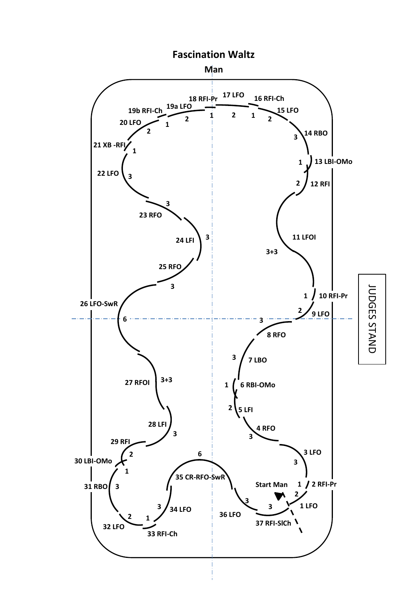